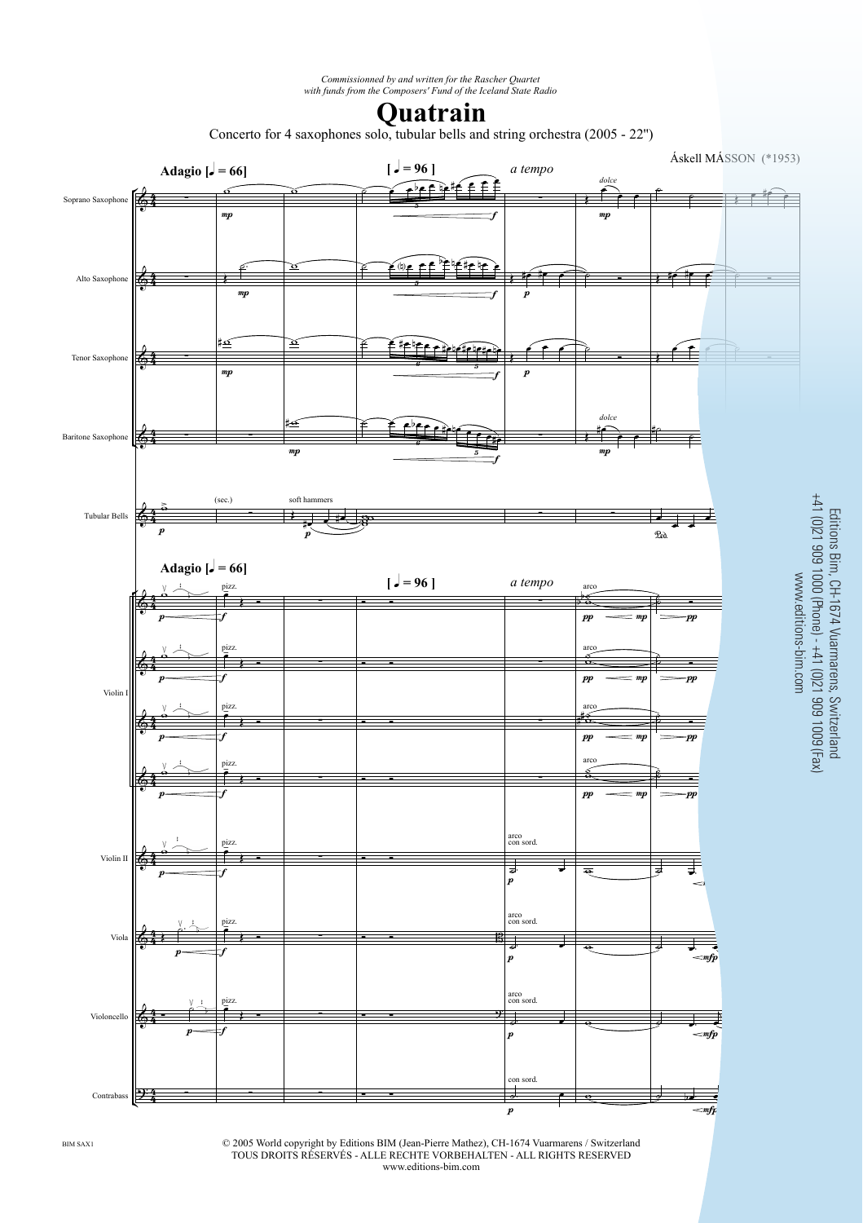*Commissionned by and written for the Rascher Quartet with funds from the Composers' Fund of the Iceland State Radio*

## **Quatrain**

Concerto for 4 saxophones solo, tubular bells and string orchestra (2005 - 22'')



www.editions-bim.com

© 2005 World copyright by Editions BIM (Jean-Pierre Mathez), CH-1674 Vuarmarens / Switzerland TOUS DROITS RÉSERVÉS - ALLE RECHTE VORBEHALTEN - ALL RIGHTS RESERVED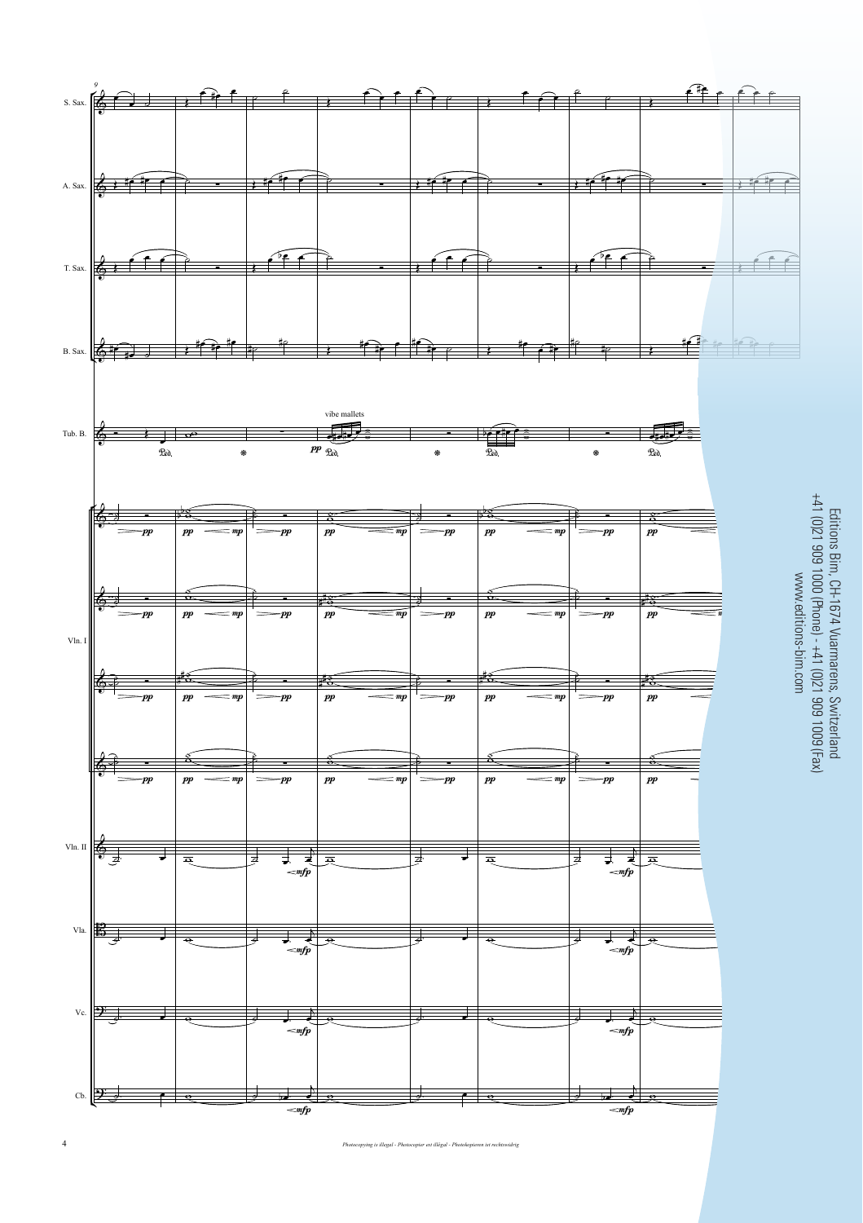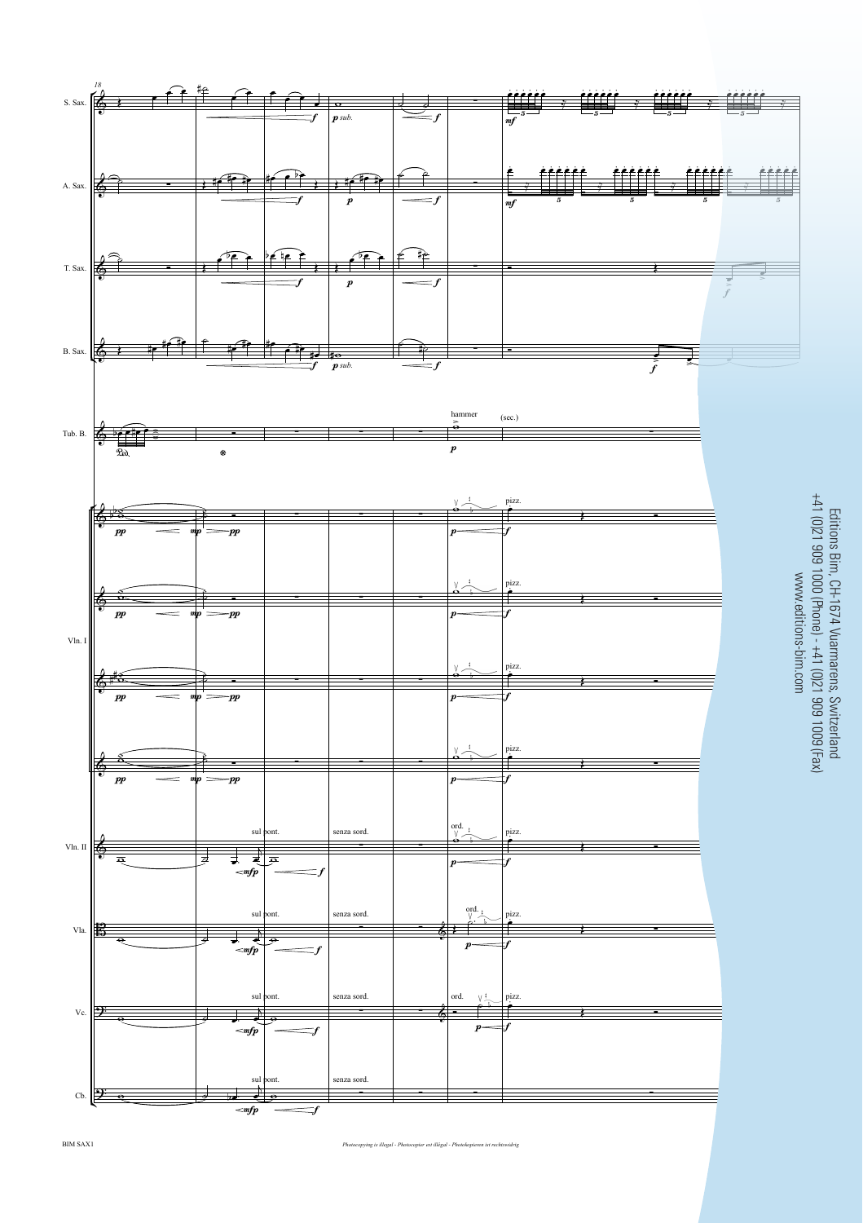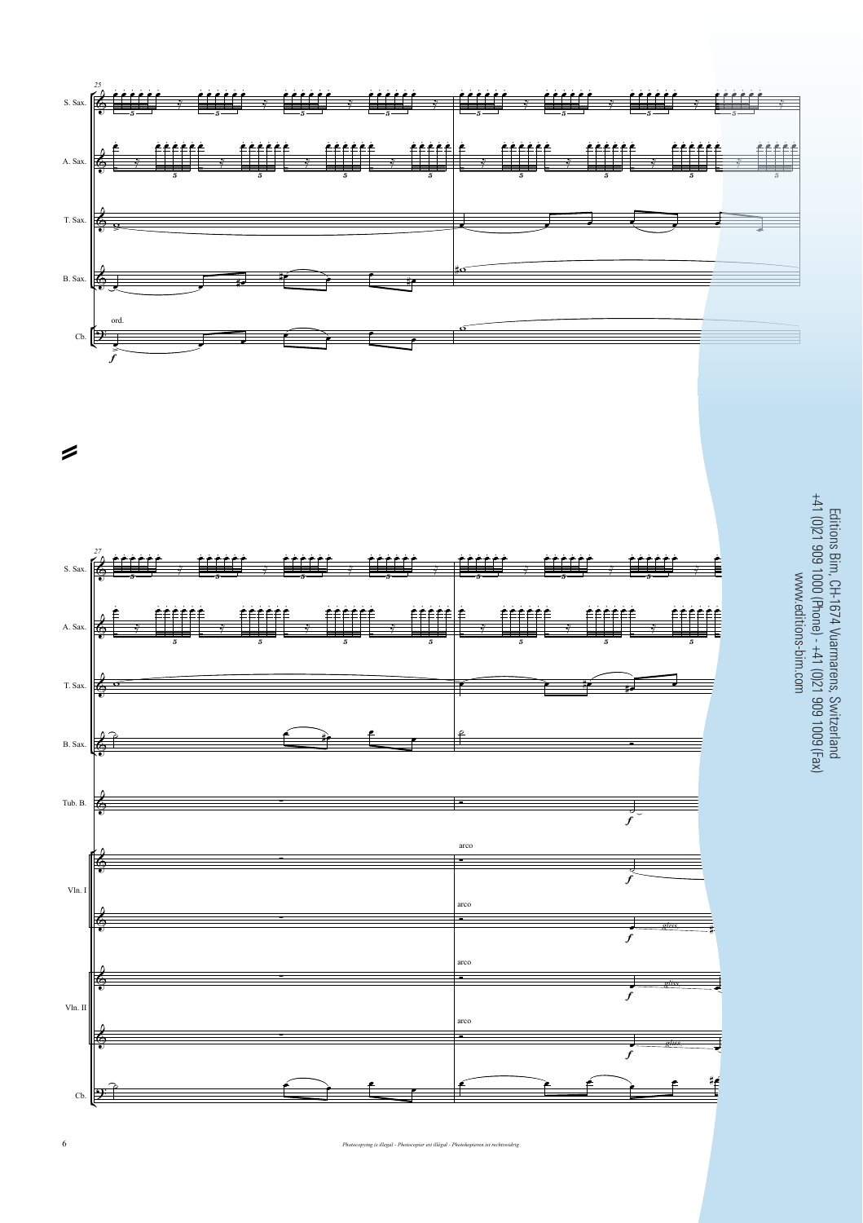



www.editions-bim.com ļ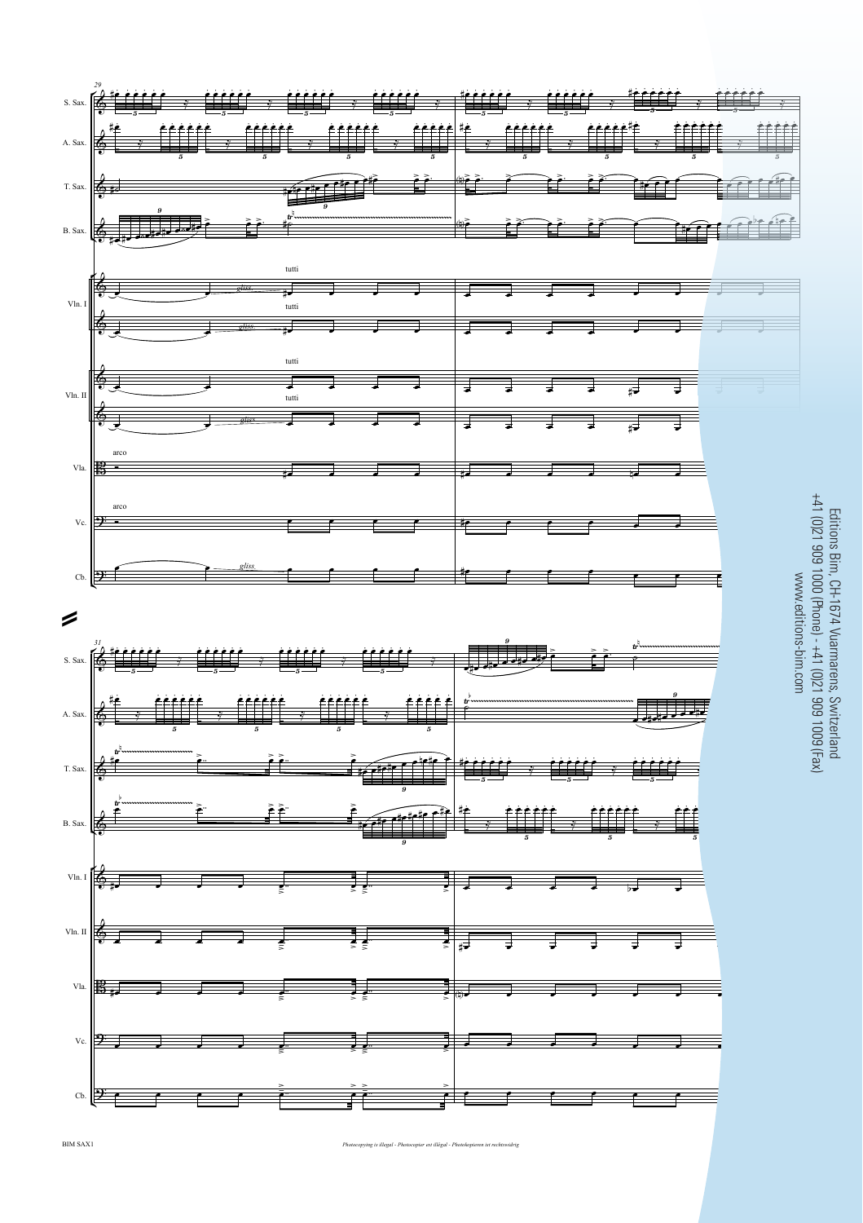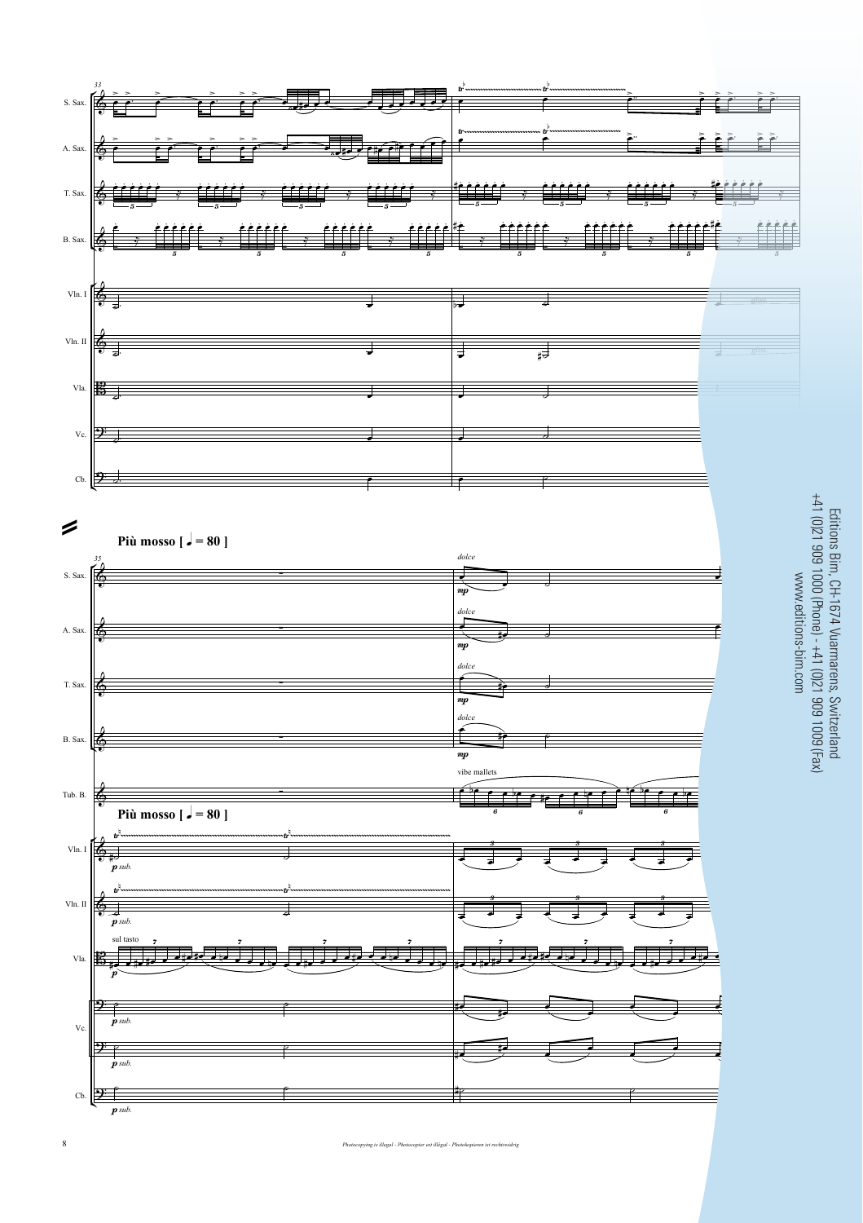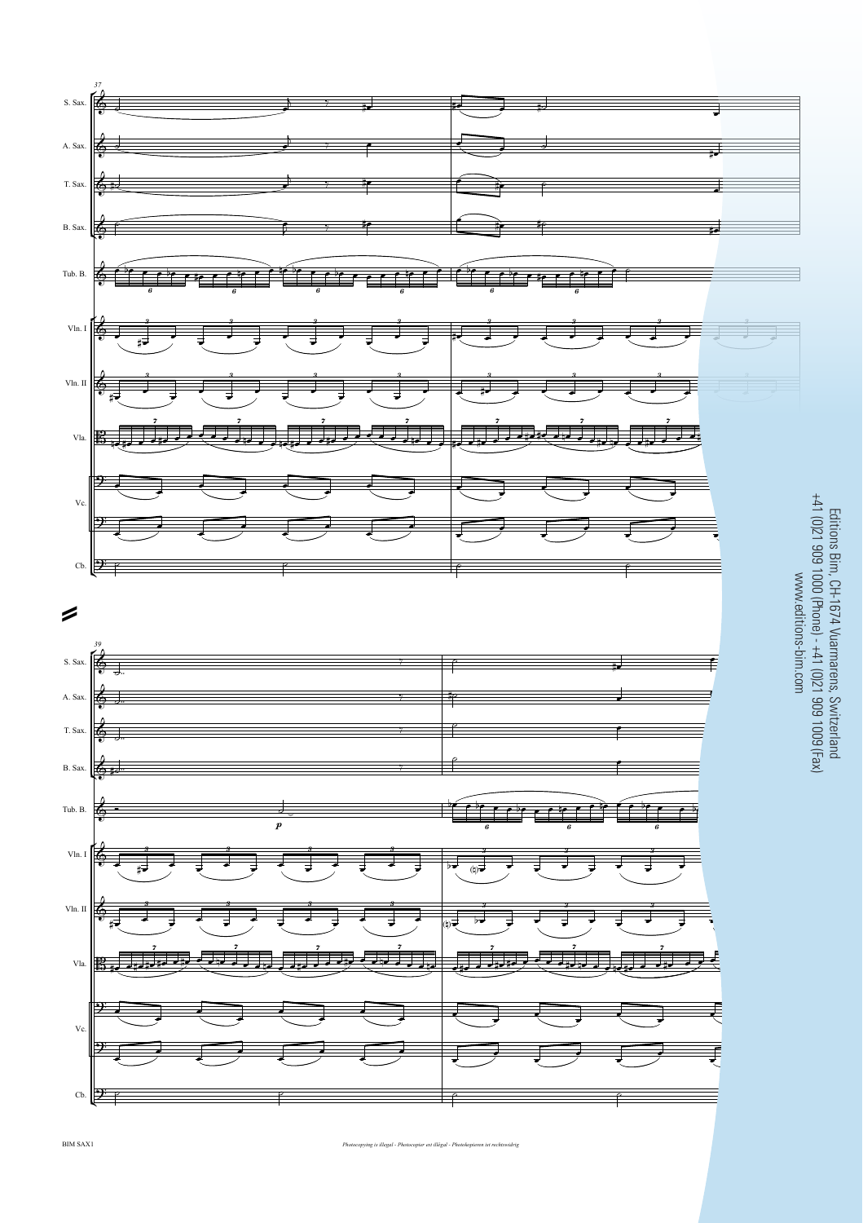